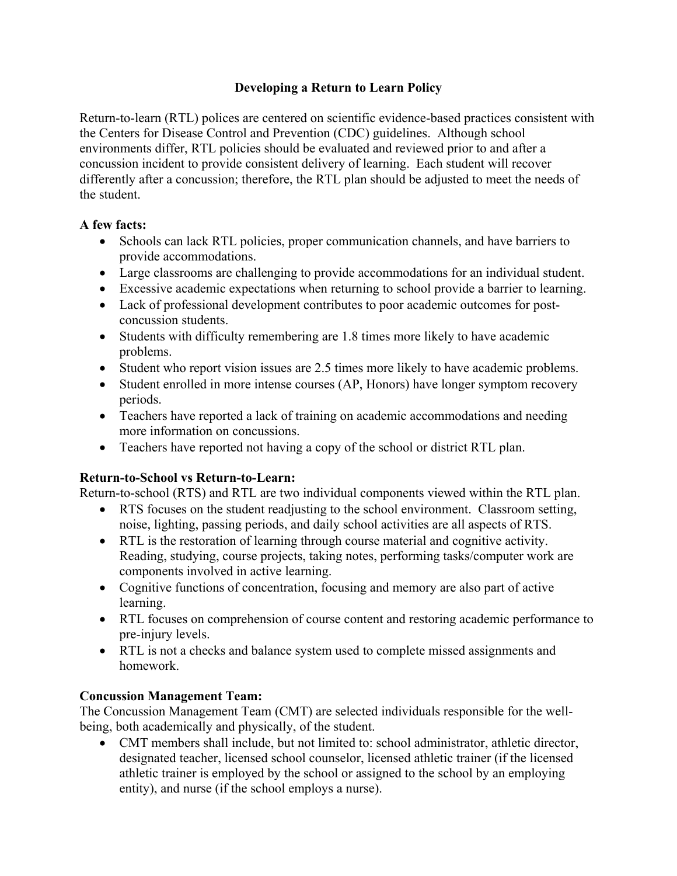## **Developing a Return to Learn Policy**

Return-to-learn (RTL) polices are centered on scientific evidence-based practices consistent with the Centers for Disease Control and Prevention (CDC) guidelines. Although school environments differ, RTL policies should be evaluated and reviewed prior to and after a concussion incident to provide consistent delivery of learning. Each student will recover differently after a concussion; therefore, the RTL plan should be adjusted to meet the needs of the student.

### **A few facts:**

- Schools can lack RTL policies, proper communication channels, and have barriers to provide accommodations.
- Large classrooms are challenging to provide accommodations for an individual student.
- Excessive academic expectations when returning to school provide a barrier to learning.
- Lack of professional development contributes to poor academic outcomes for postconcussion students.
- Students with difficulty remembering are 1.8 times more likely to have academic problems.
- Student who report vision issues are 2.5 times more likely to have academic problems.
- Student enrolled in more intense courses (AP, Honors) have longer symptom recovery periods.
- Teachers have reported a lack of training on academic accommodations and needing more information on concussions.
- Teachers have reported not having a copy of the school or district RTL plan.

# **Return-to-School vs Return-to-Learn:**

Return-to-school (RTS) and RTL are two individual components viewed within the RTL plan.

- RTS focuses on the student readjusting to the school environment. Classroom setting, noise, lighting, passing periods, and daily school activities are all aspects of RTS.
- RTL is the restoration of learning through course material and cognitive activity. Reading, studying, course projects, taking notes, performing tasks/computer work are components involved in active learning.
- Cognitive functions of concentration, focusing and memory are also part of active learning.
- RTL focuses on comprehension of course content and restoring academic performance to pre-injury levels.
- RTL is not a checks and balance system used to complete missed assignments and homework.

# **Concussion Management Team:**

The Concussion Management Team (CMT) are selected individuals responsible for the wellbeing, both academically and physically, of the student.

 CMT members shall include, but not limited to: school administrator, athletic director, designated teacher, licensed school counselor, licensed athletic trainer (if the licensed athletic trainer is employed by the school or assigned to the school by an employing entity), and nurse (if the school employs a nurse).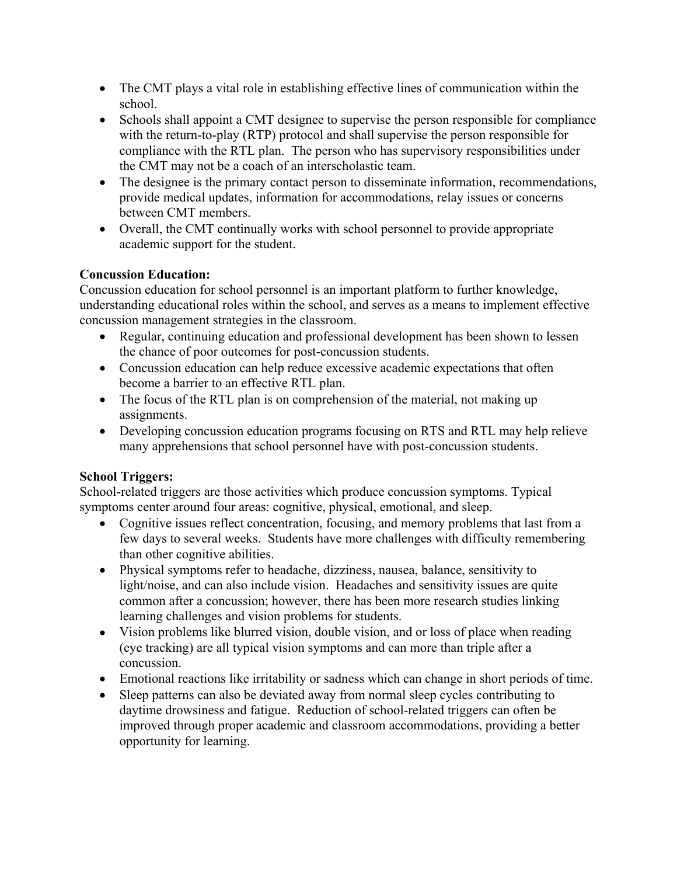- The CMT plays a vital role in establishing effective lines of communication within the school.
- Schools shall appoint a CMT designee to supervise the person responsible for compliance with the return-to-play (RTP) protocol and shall supervise the person responsible for compliance with the RTL plan. The person who has supervisory responsibilities under the CMT may not be a coach of an interscholastic team.
- The designee is the primary contact person to disseminate information, recommendations, provide medical updates, information for accommodations, relay issues or concerns between CMT members.
- Overall, the CMT continually works with school personnel to provide appropriate academic support for the student.

### **Concussion Education:**

Concussion education for school personnel is an important platform to further knowledge, understanding educational roles within the school, and serves as a means to implement effective concussion management strategies in the classroom.

- Regular, continuing education and professional development has been shown to lessen the chance of poor outcomes for post-concussion students.
- Concussion education can help reduce excessive academic expectations that often become a barrier to an effective RTL plan.
- The focus of the RTL plan is on comprehension of the material, not making up assignments.
- Developing concussion education programs focusing on RTS and RTL may help relieve many apprehensions that school personnel have with post-concussion students.

# **School Triggers:**

School-related triggers are those activities which produce concussion symptoms. Typical symptoms center around four areas: cognitive, physical, emotional, and sleep.

- Cognitive issues reflect concentration, focusing, and memory problems that last from a few days to several weeks. Students have more challenges with difficulty remembering than other cognitive abilities.
- Physical symptoms refer to headache, dizziness, nausea, balance, sensitivity to light/noise, and can also include vision. Headaches and sensitivity issues are quite common after a concussion; however, there has been more research studies linking learning challenges and vision problems for students.
- Vision problems like blurred vision, double vision, and or loss of place when reading (eye tracking) are all typical vision symptoms and can more than triple after a concussion.
- Emotional reactions like irritability or sadness which can change in short periods of time.
- Sleep patterns can also be deviated away from normal sleep cycles contributing to daytime drowsiness and fatigue. Reduction of school-related triggers can often be improved through proper academic and classroom accommodations, providing a better opportunity for learning.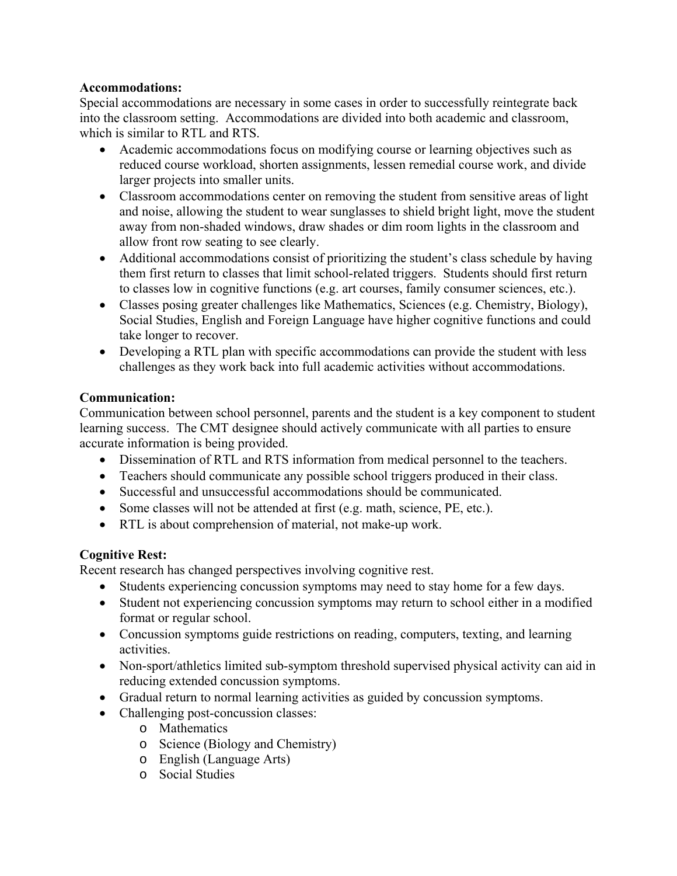#### **Accommodations:**

Special accommodations are necessary in some cases in order to successfully reintegrate back into the classroom setting. Accommodations are divided into both academic and classroom, which is similar to RTL and RTS.

- Academic accommodations focus on modifying course or learning objectives such as reduced course workload, shorten assignments, lessen remedial course work, and divide larger projects into smaller units.
- Classroom accommodations center on removing the student from sensitive areas of light and noise, allowing the student to wear sunglasses to shield bright light, move the student away from non-shaded windows, draw shades or dim room lights in the classroom and allow front row seating to see clearly.
- Additional accommodations consist of prioritizing the student's class schedule by having them first return to classes that limit school-related triggers. Students should first return to classes low in cognitive functions (e.g. art courses, family consumer sciences, etc.).
- Classes posing greater challenges like Mathematics, Sciences (e.g. Chemistry, Biology), Social Studies, English and Foreign Language have higher cognitive functions and could take longer to recover.
- Developing a RTL plan with specific accommodations can provide the student with less challenges as they work back into full academic activities without accommodations.

### **Communication:**

Communication between school personnel, parents and the student is a key component to student learning success. The CMT designee should actively communicate with all parties to ensure accurate information is being provided.

- Dissemination of RTL and RTS information from medical personnel to the teachers.
- Teachers should communicate any possible school triggers produced in their class.
- Successful and unsuccessful accommodations should be communicated.
- Some classes will not be attended at first (e.g. math, science, PE, etc.).
- RTL is about comprehension of material, not make-up work.

# **Cognitive Rest:**

Recent research has changed perspectives involving cognitive rest.

- Students experiencing concussion symptoms may need to stay home for a few days.
- Student not experiencing concussion symptoms may return to school either in a modified format or regular school.
- Concussion symptoms guide restrictions on reading, computers, texting, and learning activities.
- Non-sport/athletics limited sub-symptom threshold supervised physical activity can aid in reducing extended concussion symptoms.
- Gradual return to normal learning activities as guided by concussion symptoms.
- Challenging post-concussion classes:
	- o Mathematics
	- o Science (Biology and Chemistry)
	- o English (Language Arts)
	- o Social Studies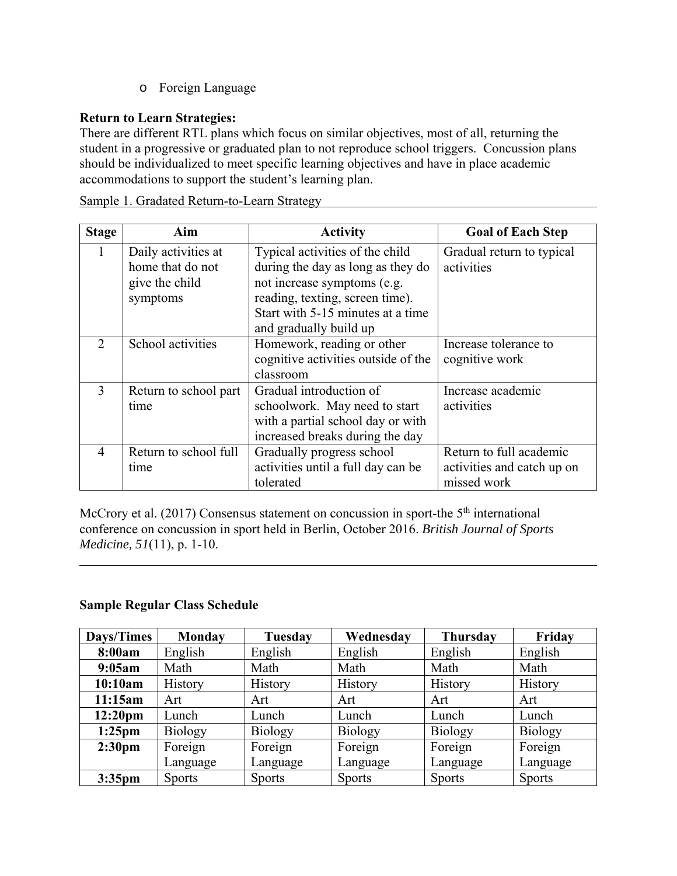o Foreign Language

## **Return to Learn Strategies:**

There are different RTL plans which focus on similar objectives, most of all, returning the student in a progressive or graduated plan to not reproduce school triggers. Concussion plans should be individualized to meet specific learning objectives and have in place academic accommodations to support the student's learning plan.

| <b>Stage</b>  | Aim                   | <b>Activity</b>                     | <b>Goal of Each Step</b>   |  |
|---------------|-----------------------|-------------------------------------|----------------------------|--|
|               | Daily activities at   | Typical activities of the child     | Gradual return to typical  |  |
|               | home that do not      | during the day as long as they do   | activities                 |  |
|               | give the child        | not increase symptoms (e.g.         |                            |  |
|               | symptoms              | reading, texting, screen time).     |                            |  |
|               |                       | Start with 5-15 minutes at a time   |                            |  |
|               |                       | and gradually build up              |                            |  |
| $\mathcal{D}$ | School activities     | Homework, reading or other          | Increase tolerance to      |  |
|               |                       | cognitive activities outside of the | cognitive work             |  |
|               |                       | classroom                           |                            |  |
| 3             | Return to school part | Gradual introduction of             | Increase academic          |  |
|               | time                  | schoolwork. May need to start       | activities                 |  |
|               |                       | with a partial school day or with   |                            |  |
|               |                       | increased breaks during the day     |                            |  |
| 4             | Return to school full | Gradually progress school           | Return to full academic    |  |
|               | time                  | activities until a full day can be  | activities and catch up on |  |
|               |                       | tolerated                           | missed work                |  |

Sample 1. Gradated Return-to-Learn Strategy

McCrory et al.  $(2017)$  Consensus statement on concussion in sport-the  $5<sup>th</sup>$  international conference on concussion in sport held in Berlin, October 2016. *British Journal of Sports Medicine, 51*(11), p. 1-10.

#### **Sample Regular Class Schedule**

l

| Days/Times          | <b>Monday</b> | Tuesday        | Wednesday     | <b>Thursday</b> | Friday        |
|---------------------|---------------|----------------|---------------|-----------------|---------------|
| 8:00am              | English       | English        | English       | English         | English       |
| 9:05am              | Math          | Math           | Math          | Math            | Math          |
| 10:10am             | History       | History        | History       | History         | History       |
| 11:15am             | Art           | Art            | Art           | Art             | Art           |
| 12:20 <sub>pm</sub> | Lunch         | Lunch          | Lunch         | Lunch           | Lunch         |
| $1:25$ pm           | Biology       | <b>Biology</b> | Biology       | <b>Biology</b>  | Biology       |
| 2:30 <sub>pm</sub>  | Foreign       | Foreign        | Foreign       | Foreign         | Foreign       |
|                     | Language      | Language       | Language      | Language        | Language      |
| $3:35$ pm           | <b>Sports</b> | <b>Sports</b>  | <b>Sports</b> | <b>Sports</b>   | <b>Sports</b> |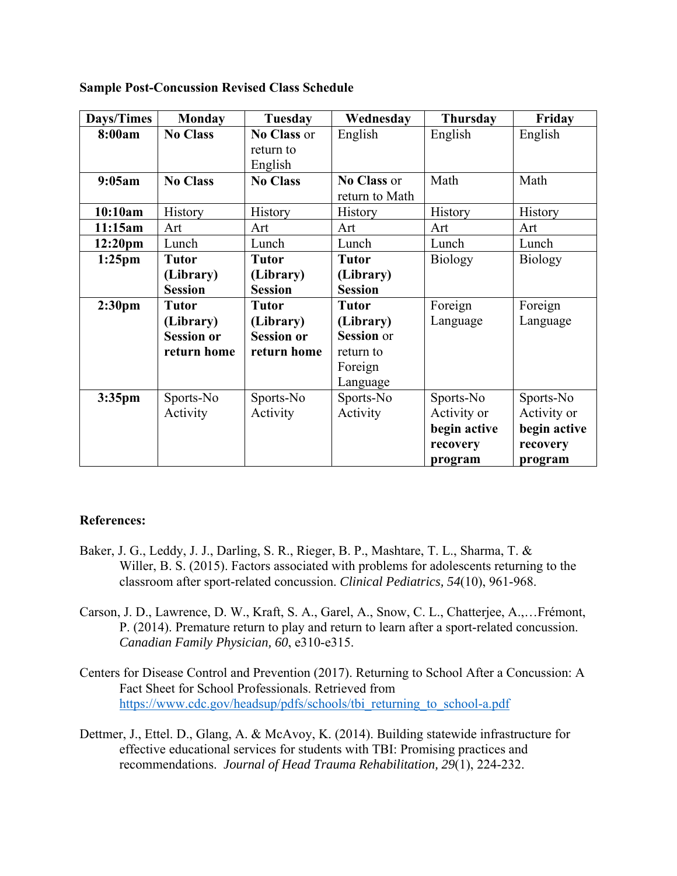| Days/Times          | <b>Monday</b>     | <b>Tuesday</b>    | Wednesday         | <b>Thursday</b> | Friday         |
|---------------------|-------------------|-------------------|-------------------|-----------------|----------------|
| 8:00am              | <b>No Class</b>   | No Class or       | English           | English         | English        |
|                     |                   | return to         |                   |                 |                |
|                     |                   | English           |                   |                 |                |
| 9:05am              | <b>No Class</b>   | <b>No Class</b>   | No Class or       | Math            | Math           |
|                     |                   |                   | return to Math    |                 |                |
| 10:10am             | History           | History           | History           | History         | History        |
| 11:15am             | Art               | Art               | Art               | Art             | Art            |
| 12:20 <sub>pm</sub> | Lunch             | Lunch             | Lunch             | Lunch           | Lunch          |
| $1:25$ pm           | <b>Tutor</b>      | <b>Tutor</b>      | <b>Tutor</b>      | Biology         | <b>Biology</b> |
|                     | (Library)         | (Library)         | (Library)         |                 |                |
|                     | <b>Session</b>    | <b>Session</b>    | <b>Session</b>    |                 |                |
| 2:30 <sub>pm</sub>  | <b>Tutor</b>      | <b>Tutor</b>      | <b>Tutor</b>      | Foreign         | Foreign        |
|                     | (Library)         | (Library)         | (Library)         | Language        | Language       |
|                     | <b>Session or</b> | <b>Session or</b> | <b>Session</b> or |                 |                |
|                     | return home       | return home       | return to         |                 |                |
|                     |                   |                   | Foreign           |                 |                |
|                     |                   |                   | Language          |                 |                |
| $3:35$ pm           | Sports-No         | Sports-No         | Sports-No         | Sports-No       | Sports-No      |
|                     | Activity          | Activity          | Activity          | Activity or     | Activity or    |
|                     |                   |                   |                   | begin active    | begin active   |
|                     |                   |                   |                   | recovery        | recovery       |
|                     |                   |                   |                   | program         | program        |

**Sample Post-Concussion Revised Class Schedule** 

#### **References:**

- Baker, J. G., Leddy, J. J., Darling, S. R., Rieger, B. P., Mashtare, T. L., Sharma, T. & Willer, B. S. (2015). Factors associated with problems for adolescents returning to the classroom after sport-related concussion. *Clinical Pediatrics, 54*(10), 961-968.
- Carson, J. D., Lawrence, D. W., Kraft, S. A., Garel, A., Snow, C. L., Chatterjee, A.,…Frémont, P. (2014). Premature return to play and return to learn after a sport-related concussion. *Canadian Family Physician, 60*, e310-e315.
- Centers for Disease Control and Prevention (2017). Returning to School After a Concussion: A Fact Sheet for School Professionals. Retrieved from https://www.cdc.gov/headsup/pdfs/schools/tbi\_returning\_to\_school-a.pdf
- Dettmer, J., Ettel. D., Glang, A. & McAvoy, K. (2014). Building statewide infrastructure for effective educational services for students with TBI: Promising practices and recommendations. *Journal of Head Trauma Rehabilitation, 29*(1), 224-232.